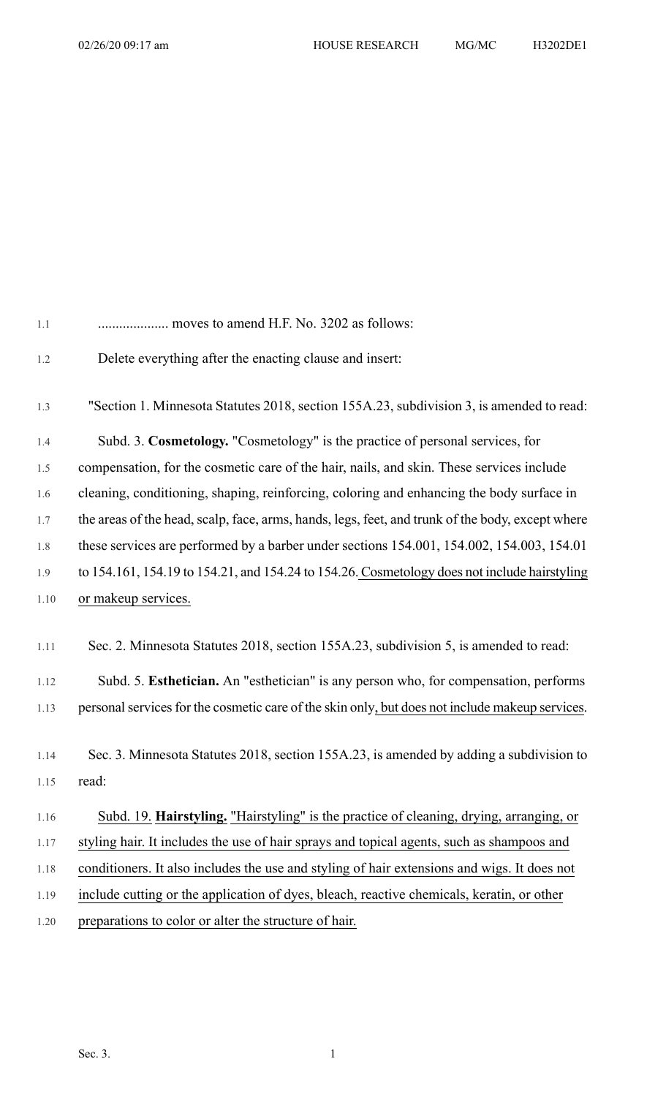| 1.1          | moves to amend H.F. No. 3202 as follows:                                                         |
|--------------|--------------------------------------------------------------------------------------------------|
| 1.2          | Delete everything after the enacting clause and insert:                                          |
| 1.3          | "Section 1. Minnesota Statutes 2018, section 155A.23, subdivision 3, is amended to read:         |
| 1.4          | Subd. 3. Cosmetology. "Cosmetology" is the practice of personal services, for                    |
| 1.5          | compensation, for the cosmetic care of the hair, nails, and skin. These services include         |
| 1.6          | cleaning, conditioning, shaping, reinforcing, coloring and enhancing the body surface in         |
| 1.7          | the areas of the head, scalp, face, arms, hands, legs, feet, and trunk of the body, except where |
| 1.8          | these services are performed by a barber under sections 154.001, 154.002, 154.003, 154.01        |
| 1.9          | to 154.161, 154.19 to 154.21, and 154.24 to 154.26. Cosmetology does not include hairstyling     |
| 1.10         | or makeup services.                                                                              |
| 1.11         | Sec. 2. Minnesota Statutes 2018, section 155A.23, subdivision 5, is amended to read:             |
| 1.12         | Subd. 5. Esthetician. An "esthetician" is any person who, for compensation, performs             |
| 1.13         | personal services for the cosmetic care of the skin only, but does not include makeup services.  |
| 1.14<br>1.15 | Sec. 3. Minnesota Statutes 2018, section 155A.23, is amended by adding a subdivision to<br>read: |
| 1.16         | Subd. 19. Hairstyling. "Hairstyling" is the practice of cleaning, drying, arranging, or          |
| 1.17         | styling hair. It includes the use of hair sprays and topical agents, such as shampoos and        |
| 1.18         | conditioners. It also includes the use and styling of hair extensions and wigs. It does not      |
| 1.19         | include cutting or the application of dyes, bleach, reactive chemicals, keratin, or other        |
| 1.20         | preparations to color or alter the structure of hair.                                            |